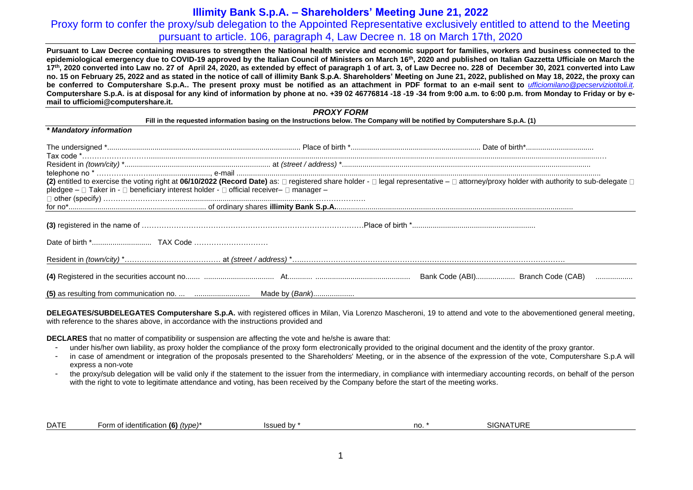### **Illimity Bank S.p.A. – Shareholders' Meeting June 21, 2022**

# Proxy form to confer the proxy/sub delegation to the Appointed Representative exclusively entitled to attend to the Meeting pursuant to article. 106, paragraph 4, Law Decree n. 18 on March 17th, 2020

**Pursuant to Law Decree containing measures to strengthen the National health service and economic support for families, workers and business connected to the epidemiological emergency due to COVID-19 approved by the Italian Council of Ministers on March 16th, 2020 and published on Italian Gazzetta Ufficiale on March the 17th, 2020 converted into Law no. 27 of April 24, 2020, as extended by effect of paragraph 1 of art. 3, of Law Decree no. 228 of December 30, 2021 converted into Law**  no. 15 on February 25, 2022 and as stated in the notice of call of illimity Bank S.p.A. Shareholders' Meeting on June 21, 2022, published on May 18, 2022, the proxy can **be conferred to Computershare S.p.A.. The present proxy must be notified as an attachment in PDF format to an e-mail sent to** *[ufficiomilano@pecserviziotitoli.it.](mailto:ufficiomilano@pecserviziotitoli.it)* **Computershare S.p.A. is at disposal for any kind of information by phone at no. +39 02 46776814 -18 -19 -34 from 9:00 a.m. to 6:00 p.m. from Monday to Friday or by email to ufficiomi@computershare.it.**

#### *PROXY FORM*

#### **Fill in the requested information basing on the Instructions below. The Company will be notified by Computershare S.p.A. (1)**

|                                                                                         | (2) entitled to exercise the voting right at 06/10/2022 (Record Date) as: □ registered share holder - □ legal representative - □ attorney/proxy holder with authority to sub-delegate □ |
|-----------------------------------------------------------------------------------------|-----------------------------------------------------------------------------------------------------------------------------------------------------------------------------------------|
| pledgee – □ Taker in - □ beneficiary interest holder - □ official receiver– □ manager – |                                                                                                                                                                                         |
|                                                                                         |                                                                                                                                                                                         |
|                                                                                         |                                                                                                                                                                                         |
|                                                                                         |                                                                                                                                                                                         |
|                                                                                         |                                                                                                                                                                                         |
|                                                                                         |                                                                                                                                                                                         |
|                                                                                         |                                                                                                                                                                                         |
|                                                                                         |                                                                                                                                                                                         |
|                                                                                         |                                                                                                                                                                                         |

**DELEGATES/SUBDELEGATES Computershare S.p.A.** with registered offices in Milan, Via Lorenzo Mascheroni, 19 to attend and vote to the abovementioned general meeting, with reference to the shares above, in accordance with the instructions provided and

**DECLARES** that no matter of compatibility or suspension are affecting the vote and he/she is aware that:

*\* Mandatory information*

- under his/her own liability, as proxy holder the compliance of the proxy form electronically provided to the original document and the identity of the proxy grantor.
- in case of amendment or integration of the proposals presented to the Shareholders' Meeting, or in the absence of the expression of the vote, Computershare S.p.A will express a non-vote
- the proxy/sub delegation will be valid only if the statement to the issuer from the intermediary, in compliance with intermediary accounting records, on behalf of the person with the right to vote to legitimate attendance and voting, has been received by the Company before the start of the meeting works.

| dentification<br>no<br>, type i<br>n.,<br>(O)<br><b>TIM</b><br>- ۱۲۰<br>UN<br>. | <b>DATE</b> | $\cdots$<br>$\sim$<br>∙orm |  |  | 716 |  |
|---------------------------------------------------------------------------------|-------------|----------------------------|--|--|-----|--|
|---------------------------------------------------------------------------------|-------------|----------------------------|--|--|-----|--|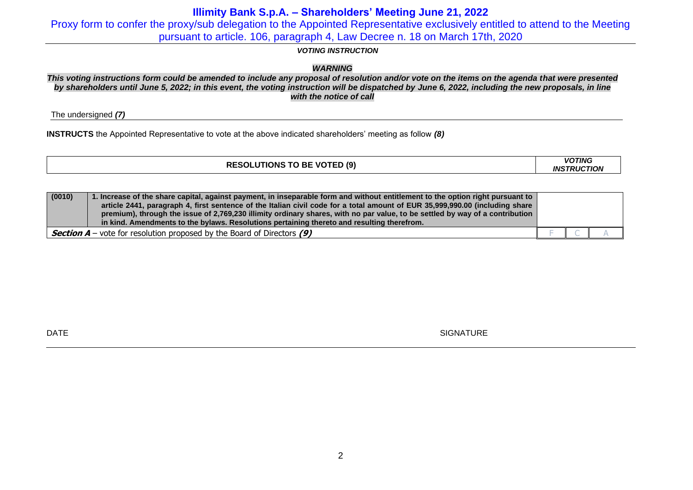# **Illimity Bank S.p.A. – Shareholders' Meeting June 21, 2022**

Proxy form to confer the proxy/sub delegation to the Appointed Representative exclusively entitled to attend to the Meeting pursuant to article. 106, paragraph 4, Law Decree n. 18 on March 17th, 2020

### *VOTING INSTRUCTION*

### *WARNING*

*This voting instructions form could be amended to include any proposal of resolution and/or vote on the items on the agenda that were presented by shareholders until June 5, 2022; in this event, the voting instruction will be dispatched by June 6, 2022, including the new proposals, in line with the notice of call*

The undersigned *(7)*

**INSTRUCTS** the Appointed Representative to vote at the above indicated shareholders' meeting as follow *(8)*

| <b>RESOLUTIONS TO BE VOTED (9)</b> | <b>VOTING</b><br><b>INSTRUCTION</b> |
|------------------------------------|-------------------------------------|
|                                    |                                     |

| (0010)                                                                          | 1. Increase of the share capital, against payment, in inseparable form and without entitlement to the option right pursuant to  <br>article 2441, paragraph 4, first sentence of the Italian civil code for a total amount of EUR 35,999,990.00 (including share<br>premium), through the issue of 2,769,230 illimity ordinary shares, with no par value, to be settled by way of a contribution<br>in kind. Amendments to the bylaws. Resolutions pertaining thereto and resulting therefrom. |  |  |
|---------------------------------------------------------------------------------|------------------------------------------------------------------------------------------------------------------------------------------------------------------------------------------------------------------------------------------------------------------------------------------------------------------------------------------------------------------------------------------------------------------------------------------------------------------------------------------------|--|--|
| <b>Section A</b> – vote for resolution proposed by the Board of Directors $(9)$ |                                                                                                                                                                                                                                                                                                                                                                                                                                                                                                |  |  |

 $\blacksquare$  DATE SIGNATURE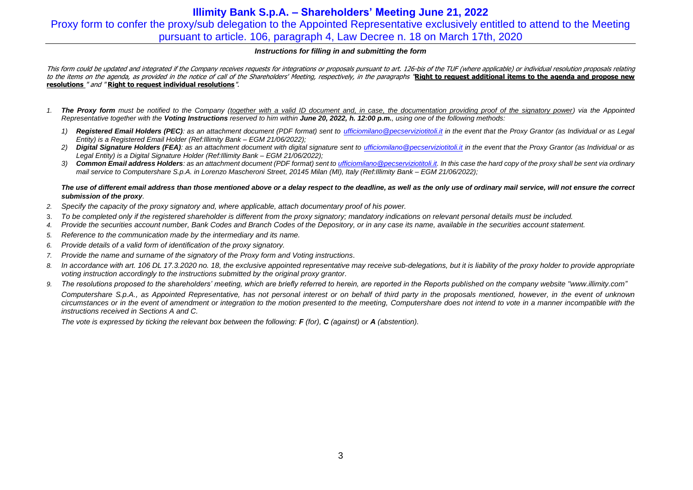# **Illimity Bank S.p.A. – Shareholders' Meeting June 21, 2022** Proxy form to confer the proxy/sub delegation to the Appointed Representative exclusively entitled to attend to the Meeting pursuant to article. 106, paragraph 4, Law Decree n. 18 on March 17th, 2020

#### *Instructions for filling in and submitting the form*

This form could be updated and integrated if the Company receives requests for integrations or proposals pursuant to art. 126-bis of the TUF (where applicable) or individual resolution proposals relating to the items on the agenda, as provided in the notice of call of the Shareholders' Meeting, respectively, in the paragraphs **'Right to request additional items to the agenda and propose new resolutions** " and " **Right to request individual resolutions**".

- *1. The Proxy form must be notified to the Company (together with a valid ID document and, in case, the documentation providing proof of the signatory power) via the Appointed Representative together with the Voting Instructions reserved to him within June 20, 2022, h. 12:00 p.m., using one of the following methods:*
	- *1) Registered Email Holders (PEC): as an attachment document (PDF format) sent to [ufficiomilano@pecserviziotitoli.it](mailto:ufficiomilano@pecserviziotitoli.it) in the event that the Proxy Grantor (as Individual or as Legal Entity) is a Registered Email Holder (Ref:Illimity Bank – EGM 21/06/2022);*
	- 2) *Digital Signature Holders (FEA)*: as an attachment document with digital signature sent to *ufficiomilano@pecserviziotitoli.it* in the event that the Proxy Grantor (as Individual or as *Legal Entity) is a Digital Signature Holder (Ref:Illimity Bank – EGM 21/06/2022);*
	- *3) Common Email address Holders: as an attachment document (PDF format) sent to [ufficiomilano@pecserviziotitoli.it.](mailto:ufficiomilano@pecserviziotitoli.it) In this case the hard copy of the proxy shall be sent via ordinary mail service to Computershare S.p.A. in Lorenzo Mascheroni Street, 20145 Milan (MI), Italy (Ref:Illimity Bank – EGM 21/06/2022);*

#### *The use of different email address than those mentioned above or a delay respect to the deadline, as well as the only use of ordinary mail service, will not ensure the correct submission of the proxy.*

- *2. Specify the capacity of the proxy signatory and, where applicable, attach documentary proof of his power.*
- 3. *To be completed only if the registered shareholder is different from the proxy signatory; mandatory indications on relevant personal details must be included.*
- *4. Provide the securities account number, Bank Codes and Branch Codes of the Depository, or in any case its name, available in the securities account statement.*
- *5. Reference to the communication made by the intermediary and its name.*
- *6. Provide details of a valid form of identification of the proxy signatory.*
- *7. Provide the name and surname of the signatory of the Proxy form and Voting instructions.*
- 8. In accordance with art. 106 DL 17.3.2020 no. 18, the exclusive appointed representative may receive sub-delegations, but it is liability of the proxy holder to provide appropriate *voting instruction accordingly to the instructions submitted by the original proxy grantor.*
- 9. The resolutions proposed to the shareholders' meeting, which are briefly referred to herein, are reported in the Reports published on the company website ["www.illimity.com"](http://www.illimity.com/) *Computershare S.p.A., as Appointed Representative, has not personal interest or on behalf of third party in the proposals mentioned, however, in the event of unknown circumstances or in the event of amendment or integration to the motion presented to the meeting, Computershare does not intend to vote in a manner incompatible with the instructions received in Sections A and C.*

*The vote is expressed by ticking the relevant box between the following: F (for), C (against) or A (abstention).*